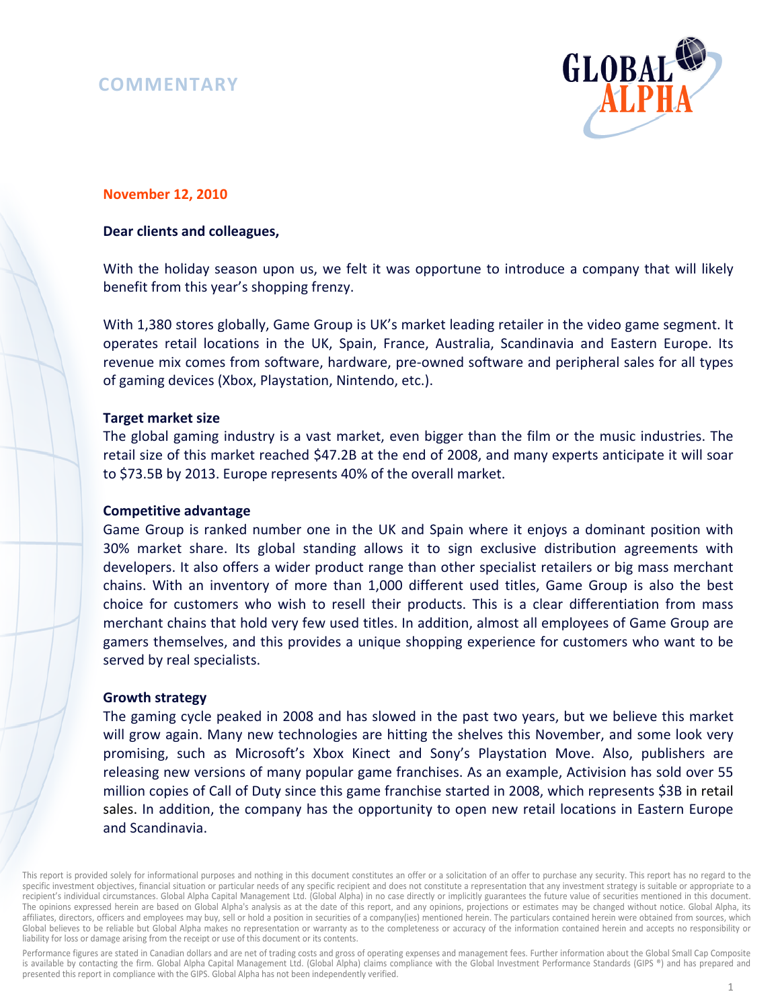# **COMMENTARY**



# **November 12, 2010**

## **Dear clients and colleagues,**

With the holiday season upon us, we felt it was opportune to introduce a company that will likely benefit from this year's shopping frenzy.

With 1,380 stores globally, Game Group is UK's market leading retailer in the video game segment. It operates retail locations in the UK, Spain, France, Australia, Scandinavia and Eastern Europe. Its revenue mix comes from software, hardware, pre-owned software and peripheral sales for all types of gaming devices (Xbox, Playstation, Nintendo, etc.).

### **Target market size**

The global gaming industry is a vast market, even bigger than the film or the music industries. The retail size of this market reached \$47.2B at the end of 2008, and many experts anticipate it will soar to \$73.5B by 2013. Europe represents 40% of the overall market.

# **Competitive advantage**

Game Group is ranked number one in the UK and Spain where it enjoys a dominant position with 30% market share. Its global standing allows it to sign exclusive distribution agreements with developers. It also offers a wider product range than other specialist retailers or big mass merchant chains. With an inventory of more than 1,000 different used titles, Game Group is also the best choice for customers who wish to resell their products. This is a clear differentiation from mass merchant chains that hold very few used titles. In addition, almost all employees of Game Group are gamers themselves, and this provides a unique shopping experience for customers who want to be served by real specialists.

#### **Growth strategy**

The gaming cycle peaked in 2008 and has slowed in the past two years, but we believe this market will grow again. Many new technologies are hitting the shelves this November, and some look very promising, such as Microsoft's Xbox Kinect and Sony's Playstation Move. Also, publishers are releasing new versions of many popular game franchises. As an example, Activision has sold over 55 million copies of Call of Duty since this game franchise started in 2008, which represents \$3B in retail sales. In addition, the company has the opportunity to open new retail locations in Eastern Europe and Scandinavia.

This report is provided solely for informational purposes and nothing in this document constitutes an offer or a solicitation of an offer to purchase any security. This report has no regard to the specific investment objectives, financial situation or particular needs of any specific recipient and does not constitute a representation that any investment strategy is suitable or appropriate to a recipient's individual circumstances. Global Alpha Capital Management Ltd. (Global Alpha) in no case directly or implicitly guarantees the future value of securities mentioned in this document. The opinions expressed herein are based on Global Alpha's analysis as at the date of this report, and any opinions, projections or estimates may be changed without notice. Global Alpha, its affiliates, directors, officers and employees may buy, sell or hold a position in securities of a company(ies) mentioned herein. The particulars contained herein were obtained from sources, which Global believes to be reliable but Global Alpha makes no representation or warranty as to the completeness or accuracy of the information contained herein and accepts no responsibility or liability for loss or damage arising from the receipt or use of this document or its contents.

Performance figures are stated in Canadian dollars and are net of trading costs and gross of operating expenses and management fees. Further information about the Global Small Cap Composite is available by contacting the firm. Global Alpha Capital Management Ltd. (Global Alpha) claims compliance with the Global Investment Performance Standards (GIPS ®) and has prepared and presented this report in compliance with the GIPS. Global Alpha has not been independently verified.